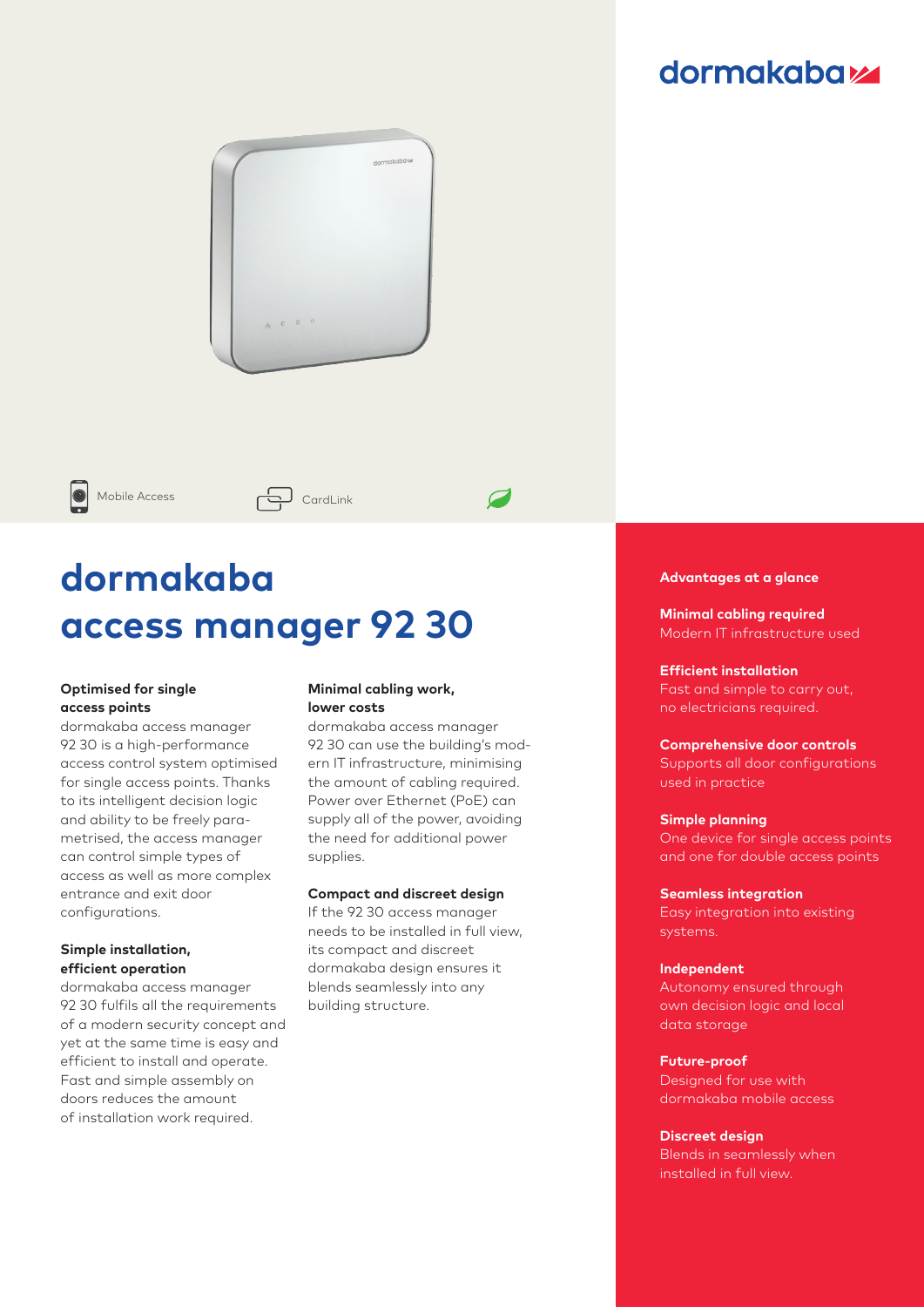### **dormakabazz**



Mobile Access  $\overline{\bigoplus}$  CardLink

# **dormakaba access manager 92 30**

#### **Optimised for single access points**

dormakaba access manager 92 30 is a high-performance access control system optimised for single access points. Thanks to its intelligent decision logic and ability to be freely parametrised, the access manager can control simple types of access as well as more complex entrance and exit door configurations.

#### **Simple installation, efficient operation**

dormakaba access manager 92 30 fulfils all the requirements of a modern security concept and yet at the same time is easy and efficient to install and operate. Fast and simple assembly on doors reduces the amount of installation work required.

#### **Minimal cabling work, lower costs**

dormakaba access manager 92 30 can use the building's modern IT infrastructure, minimising the amount of cabling required. Power over Ethernet (PoE) can supply all of the power, avoiding the need for additional power supplies.

 $\overline{\mathcal{L}}$ 

#### **Compact and discreet design**

If the 92 30 access manager needs to be installed in full view, its compact and discreet dormakaba design ensures it blends seamlessly into any building structure.

#### **Advantages at a glance**

**Minimal cabling required** Modern IT infrastructure used

#### **Efficient installation**

Fast and simple to carry out, no electricians required.

#### **Comprehensive door controls**

Supports all door configurations used in practice

#### **Simple planning**

One device for single access points and one for double access points

#### **Seamless integration**

Easy integration into existing systems.

#### **Independent**

Autonomy ensured through own decision logic and local data storage

#### **Future-proof**

Designed for use with dormakaba mobile access

#### **Discreet design**

Blends in seamlessly when installed in full view.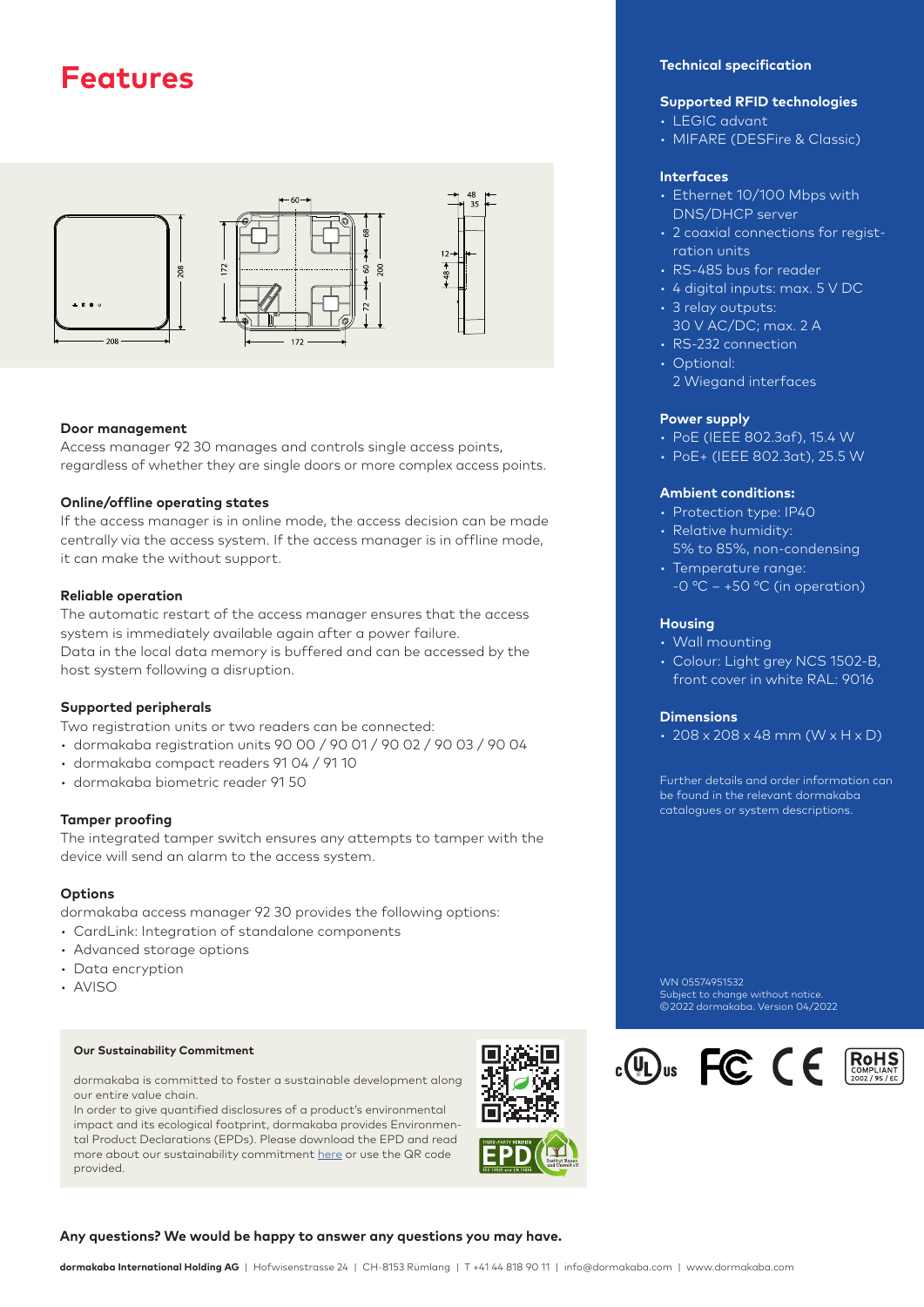



#### **Door management**

Access manager 92 30 manages and controls single access points, regardless of whether they are single doors or more complex access points.

#### **Online/offline operating states**

If the access manager is in online mode, the access decision can be made centrally via the access system. If the access manager is in offline mode, it can make the without support.

#### **Reliable operation**

The automatic restart of the access manager ensures that the access system is immediately available again after a power failure. Data in the local data memory is buffered and can be accessed by the host system following a disruption.

#### **Supported peripherals**

Two registration units or two readers can be connected:

- dormakaba registration units 90 00 / 90 01 / 90 02 / 90 03 / 90 04
- dormakaba compact readers 91 04 / 91 10
- dormakaba biometric reader 91 50

#### **Tamper proofing**

The integrated tamper switch ensures any attempts to tamper with the device will send an alarm to the access system.

#### **Options**

dormakaba access manager 92 30 provides the following options:

- CardLink: Integration of standalone components
- Advanced storage options
- Data encryption
- AVISO

#### **Our Sustainability Commitment**

dormakaba is committed to foster a sustainable development along our entire value chain.

In order to give quantified disclosures of a product's environmental impact and its ecological footprint, dormakaba provides Environmental Product Declarations (EPDs). Please download the EPD and read more about our sustainability commitment [here](https://dk.world/2Sf8OGW) or use the QR code provided.

### **Technical specification**

#### **Supported RFID technologies**

- LEGIC advant
- MIFARE (DESFire & Classic)

#### **Interfaces**

- Ethernet 10/100 Mbps with DNS/DHCP server
- 2 coaxial connections for registration units
- RS-485 bus for reader
- 4 digital inputs: max. 5 V DC
- 3 relay outputs:
- 30 V AC/DC; max. 2 A
- RS-232 connection
- Optional: 2 Wiegand interfaces

#### **Power supply**

- PoE (IEEE 802.3af), 15.4 W
- PoE+ (IEEE 802.3at), 25.5 W

#### **Ambient conditions:**

- Protection type: IP40
- Relative humidity:
- 5% to 85%, non-condensing • Temperature range:
- $-0$  °C  $+50$  °C (in operation)

#### **Housing**

- Wall mounting
- Colour: Light grey NCS 1502-B, front cover in white RAL: 9016

#### **Dimensions**

 $\cdot$  208 x 208 x 48 mm (W x H x D)

Further details and order information can be found in the relevant dormakaba catalogues or system descriptions.

WN 05574951532 Subject to change without notice. © 2022 dormakaba. Version 04/2022

 $\cdot$  (U) us FC (E)



#### **Any questions? We would be happy to answer any questions you may have.**